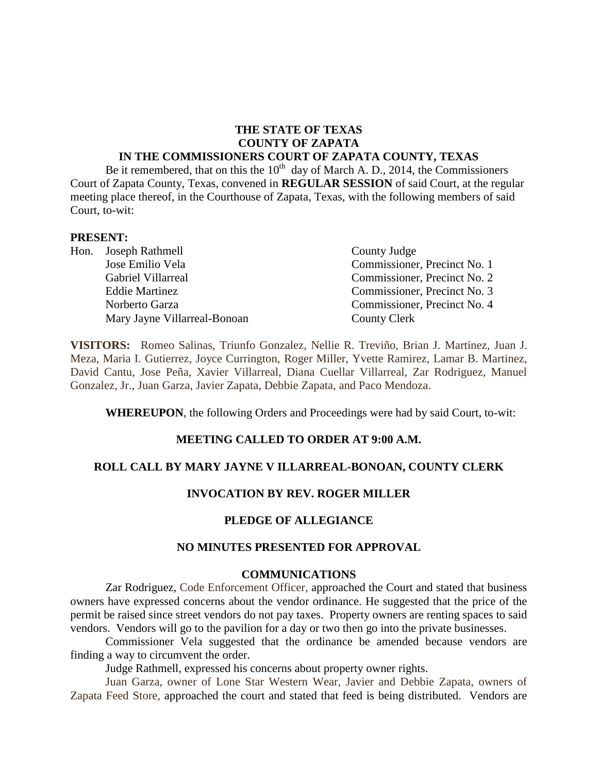# **THE STATE OF TEXAS COUNTY OF ZAPATA**

## **IN THE COMMISSIONERS COURT OF ZAPATA COUNTY, TEXAS**

Be it remembered, that on this the  $10^{th}$  day of March A. D., 2014, the Commissioners Court of Zapata County, Texas, convened in **REGULAR SESSION** of said Court, at the regular meeting place thereof, in the Courthouse of Zapata, Texas, with the following members of said Court, to-wit:

#### **PRESENT:**

|  | Hon. Joseph Rathmell         | County Judge                 |
|--|------------------------------|------------------------------|
|  | Jose Emilio Vela             | Commissioner, Precinct No. 1 |
|  | Gabriel Villarreal           | Commissioner, Precinct No. 2 |
|  | <b>Eddie Martinez</b>        | Commissioner, Precinct No. 3 |
|  | Norberto Garza               | Commissioner, Precinct No. 4 |
|  | Mary Jayne Villarreal-Bonoan | County Clerk                 |

**VISITORS:** Romeo Salinas, Triunfo Gonzalez, Nellie R. Treviño, Brian J. Martinez, Juan J. Meza, Maria I. Gutierrez, Joyce Currington, Roger Miller, Yvette Ramirez, Lamar B. Martinez, David Cantu, Jose Peña, Xavier Villarreal, Diana Cuellar Villarreal, Zar Rodriguez, Manuel Gonzalez, Jr., Juan Garza, Javier Zapata, Debbie Zapata, and Paco Mendoza.

**WHEREUPON**, the following Orders and Proceedings were had by said Court, to-wit:

## **MEETING CALLED TO ORDER AT 9:00 A.M.**

#### **ROLL CALL BY MARY JAYNE V ILLARREAL-BONOAN, COUNTY CLERK**

### **INVOCATION BY REV. ROGER MILLER**

#### **PLEDGE OF ALLEGIANCE**

### **NO MINUTES PRESENTED FOR APPROVAL**

#### **COMMUNICATIONS**

Zar Rodriguez, Code Enforcement Officer, approached the Court and stated that business owners have expressed concerns about the vendor ordinance. He suggested that the price of the permit be raised since street vendors do not pay taxes. Property owners are renting spaces to said vendors. Vendors will go to the pavilion for a day or two then go into the private businesses.

Commissioner Vela suggested that the ordinance be amended because vendors are finding a way to circumvent the order.

Judge Rathmell, expressed his concerns about property owner rights.

Juan Garza, owner of Lone Star Western Wear, Javier and Debbie Zapata, owners of Zapata Feed Store, approached the court and stated that feed is being distributed. Vendors are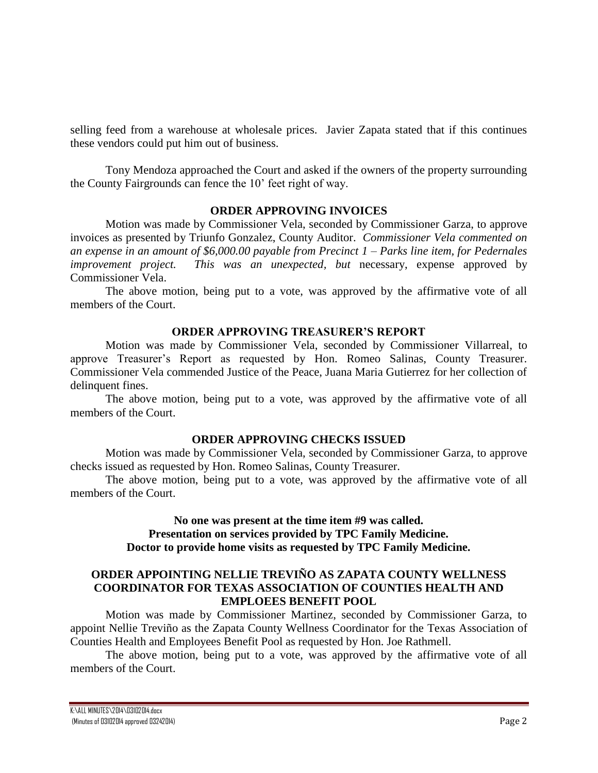selling feed from a warehouse at wholesale prices. Javier Zapata stated that if this continues these vendors could put him out of business.

Tony Mendoza approached the Court and asked if the owners of the property surrounding the County Fairgrounds can fence the 10' feet right of way.

## **ORDER APPROVING INVOICES**

Motion was made by Commissioner Vela, seconded by Commissioner Garza, to approve invoices as presented by Triunfo Gonzalez, County Auditor. *Commissioner Vela commented on an expense in an amount of \$6,000.00 payable from Precinct 1 – Parks line item, for Pedernales improvement project. This was an unexpected, but* necessary, expense approved by Commissioner Vela.

The above motion, being put to a vote, was approved by the affirmative vote of all members of the Court.

### **ORDER APPROVING TREASURER'S REPORT**

Motion was made by Commissioner Vela, seconded by Commissioner Villarreal, to approve Treasurer's Report as requested by Hon. Romeo Salinas, County Treasurer. Commissioner Vela commended Justice of the Peace, Juana Maria Gutierrez for her collection of delinquent fines.

The above motion, being put to a vote, was approved by the affirmative vote of all members of the Court.

### **ORDER APPROVING CHECKS ISSUED**

Motion was made by Commissioner Vela, seconded by Commissioner Garza, to approve checks issued as requested by Hon. Romeo Salinas, County Treasurer.

The above motion, being put to a vote, was approved by the affirmative vote of all members of the Court.

### **No one was present at the time item #9 was called. Presentation on services provided by TPC Family Medicine. Doctor to provide home visits as requested by TPC Family Medicine.**

# **ORDER APPOINTING NELLIE TREVIÑO AS ZAPATA COUNTY WELLNESS COORDINATOR FOR TEXAS ASSOCIATION OF COUNTIES HEALTH AND EMPLOEES BENEFIT POOL**

Motion was made by Commissioner Martinez, seconded by Commissioner Garza, to appoint Nellie Treviño as the Zapata County Wellness Coordinator for the Texas Association of Counties Health and Employees Benefit Pool as requested by Hon. Joe Rathmell.

The above motion, being put to a vote, was approved by the affirmative vote of all members of the Court.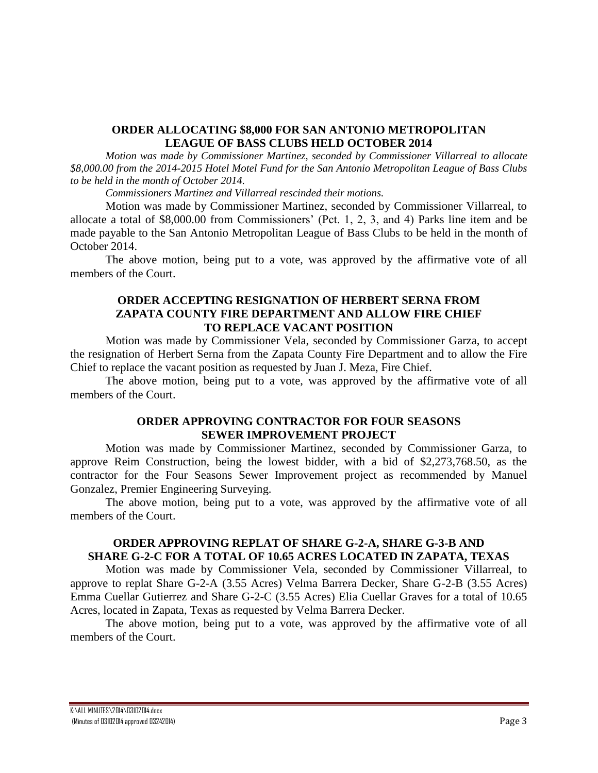### **ORDER ALLOCATING \$8,000 FOR SAN ANTONIO METROPOLITAN LEAGUE OF BASS CLUBS HELD OCTOBER 2014**

*Motion was made by Commissioner Martinez, seconded by Commissioner Villarreal to allocate \$8,000.00 from the 2014-2015 Hotel Motel Fund for the San Antonio Metropolitan League of Bass Clubs to be held in the month of October 2014.*

*Commissioners Martinez and Villarreal rescinded their motions.*

Motion was made by Commissioner Martinez, seconded by Commissioner Villarreal, to allocate a total of \$8,000.00 from Commissioners' (Pct. 1, 2, 3, and 4) Parks line item and be made payable to the San Antonio Metropolitan League of Bass Clubs to be held in the month of October 2014.

The above motion, being put to a vote, was approved by the affirmative vote of all members of the Court.

## **ORDER ACCEPTING RESIGNATION OF HERBERT SERNA FROM ZAPATA COUNTY FIRE DEPARTMENT AND ALLOW FIRE CHIEF TO REPLACE VACANT POSITION**

Motion was made by Commissioner Vela, seconded by Commissioner Garza, to accept the resignation of Herbert Serna from the Zapata County Fire Department and to allow the Fire Chief to replace the vacant position as requested by Juan J. Meza, Fire Chief.

The above motion, being put to a vote, was approved by the affirmative vote of all members of the Court.

### **ORDER APPROVING CONTRACTOR FOR FOUR SEASONS SEWER IMPROVEMENT PROJECT**

Motion was made by Commissioner Martinez, seconded by Commissioner Garza, to approve Reim Construction, being the lowest bidder, with a bid of \$2,273,768.50, as the contractor for the Four Seasons Sewer Improvement project as recommended by Manuel Gonzalez, Premier Engineering Surveying.

The above motion, being put to a vote, was approved by the affirmative vote of all members of the Court.

## **ORDER APPROVING REPLAT OF SHARE G-2-A, SHARE G-3-B AND SHARE G-2-C FOR A TOTAL OF 10.65 ACRES LOCATED IN ZAPATA, TEXAS**

Motion was made by Commissioner Vela, seconded by Commissioner Villarreal, to approve to replat Share G-2-A (3.55 Acres) Velma Barrera Decker, Share G-2-B (3.55 Acres) Emma Cuellar Gutierrez and Share G-2-C (3.55 Acres) Elia Cuellar Graves for a total of 10.65 Acres, located in Zapata, Texas as requested by Velma Barrera Decker.

The above motion, being put to a vote, was approved by the affirmative vote of all members of the Court.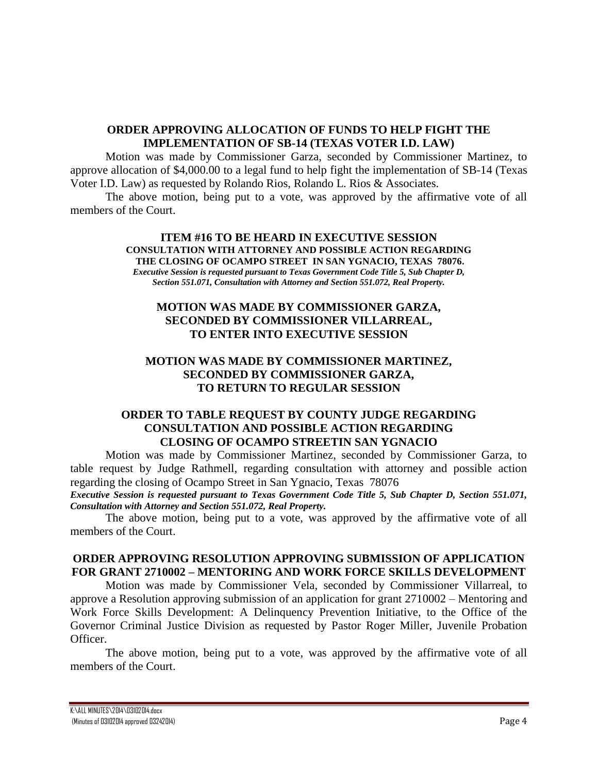## **ORDER APPROVING ALLOCATION OF FUNDS TO HELP FIGHT THE IMPLEMENTATION OF SB-14 (TEXAS VOTER I.D. LAW)**

Motion was made by Commissioner Garza, seconded by Commissioner Martinez, to approve allocation of \$4,000.00 to a legal fund to help fight the implementation of SB-14 (Texas Voter I.D. Law) as requested by Rolando Rios, Rolando L. Rios & Associates.

The above motion, being put to a vote, was approved by the affirmative vote of all members of the Court.

#### **ITEM #16 TO BE HEARD IN EXECUTIVE SESSION CONSULTATION WITH ATTORNEY AND POSSIBLE ACTION REGARDING THE CLOSING OF OCAMPO STREET IN SAN YGNACIO, TEXAS 78076.** *Executive Session is requested pursuant to Texas Government Code Title 5, Sub Chapter D, Section 551.071, Consultation with Attorney and Section 551.072, Real Property.*

# **MOTION WAS MADE BY COMMISSIONER GARZA, SECONDED BY COMMISSIONER VILLARREAL, TO ENTER INTO EXECUTIVE SESSION**

## **MOTION WAS MADE BY COMMISSIONER MARTINEZ, SECONDED BY COMMISSIONER GARZA, TO RETURN TO REGULAR SESSION**

# **ORDER TO TABLE REQUEST BY COUNTY JUDGE REGARDING CONSULTATION AND POSSIBLE ACTION REGARDING CLOSING OF OCAMPO STREETIN SAN YGNACIO**

Motion was made by Commissioner Martinez, seconded by Commissioner Garza, to table request by Judge Rathmell, regarding consultation with attorney and possible action regarding the closing of Ocampo Street in San Ygnacio, Texas 78076

*Executive Session is requested pursuant to Texas Government Code Title 5, Sub Chapter D, Section 551.071, Consultation with Attorney and Section 551.072, Real Property.*

The above motion, being put to a vote, was approved by the affirmative vote of all members of the Court.

# **ORDER APPROVING RESOLUTION APPROVING SUBMISSION OF APPLICATION FOR GRANT 2710002 – MENTORING AND WORK FORCE SKILLS DEVELOPMENT**

Motion was made by Commissioner Vela, seconded by Commissioner Villarreal, to approve a Resolution approving submission of an application for grant 2710002 – Mentoring and Work Force Skills Development: A Delinquency Prevention Initiative, to the Office of the Governor Criminal Justice Division as requested by Pastor Roger Miller, Juvenile Probation Officer.

The above motion, being put to a vote, was approved by the affirmative vote of all members of the Court.